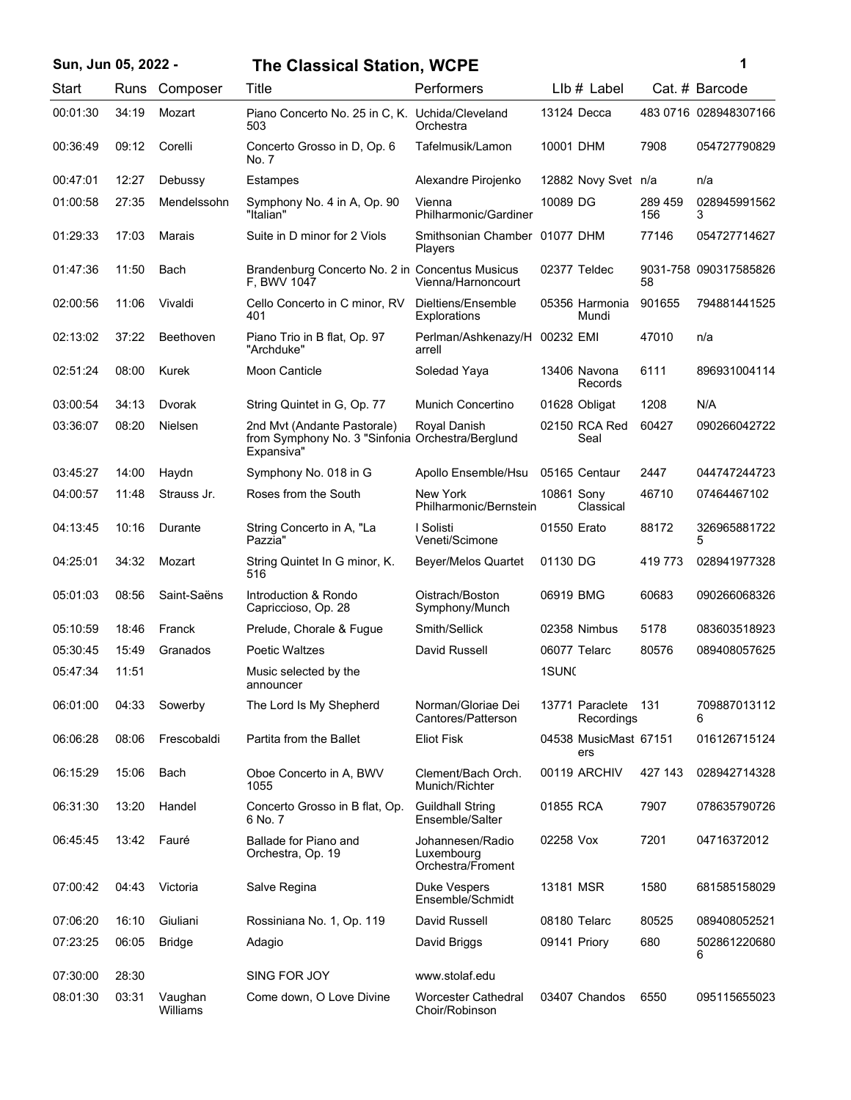## **Sun, Jun 05, 2022 - 1 The Classical Station, WCPE**

| Start    | Runs  | Composer         | Title                                                                                         | Performers                                          |                   | LIb # Label                   |                | Cat. # Barcode        |
|----------|-------|------------------|-----------------------------------------------------------------------------------------------|-----------------------------------------------------|-------------------|-------------------------------|----------------|-----------------------|
| 00:01:30 | 34:19 | Mozart           | Piano Concerto No. 25 in C, K. Uchida/Cleveland<br>503                                        | Orchestra                                           |                   | 13124 Decca                   |                | 483 0716 028948307166 |
| 00:36:49 | 09:12 | Corelli          | Concerto Grosso in D, Op. 6<br>No. 7                                                          | Tafelmusik/Lamon                                    | 10001 DHM         |                               | 7908           | 054727790829          |
| 00:47:01 | 12:27 | Debussy          | Estampes                                                                                      | Alexandre Pirojenko                                 |                   | 12882 Novy Svet n/a           |                | n/a                   |
| 01:00:58 | 27:35 | Mendelssohn      | Symphony No. 4 in A, Op. 90<br>"Italian"                                                      | Vienna<br>Philharmonic/Gardiner                     | 10089 DG          |                               | 289 459<br>156 | 028945991562<br>3     |
| 01:29:33 | 17:03 | Marais           | Suite in D minor for 2 Viols                                                                  | Smithsonian Chamber 01077 DHM<br>Players            |                   |                               | 77146          | 054727714627          |
| 01:47:36 | 11:50 | Bach             | Brandenburg Concerto No. 2 in Concentus Musicus<br>F, BWV 1047                                | Vienna/Harnoncourt                                  |                   | 02377 Teldec                  | 58             | 9031-758 090317585826 |
| 02:00:56 | 11:06 | Vivaldi          | Cello Concerto in C minor, RV<br>401                                                          | Dieltiens/Ensemble<br>Explorations                  |                   | 05356 Harmonia<br>Mundi       | 901655         | 794881441525          |
| 02:13:02 | 37:22 | <b>Beethoven</b> | Piano Trio in B flat, Op. 97<br>"Archduke"                                                    | Perlman/Ashkenazy/H<br>arrell                       | 00232 EMI         |                               | 47010          | n/a                   |
| 02:51:24 | 08:00 | Kurek            | <b>Moon Canticle</b>                                                                          | Soledad Yaya                                        |                   | 13406 Navona<br>Records       | 6111           | 896931004114          |
| 03:00:54 | 34:13 | Dvorak           | String Quintet in G, Op. 77                                                                   | Munich Concertino                                   |                   | 01628 Obligat                 | 1208           | N/A                   |
| 03:36:07 | 08:20 | Nielsen          | 2nd Mvt (Andante Pastorale)<br>from Symphony No. 3 "Sinfonia Orchestra/Berglund<br>Expansiva" | Royal Danish                                        |                   | 02150 RCA Red<br>Seal         | 60427          | 090266042722          |
| 03:45:27 | 14:00 | Haydn            | Symphony No. 018 in G                                                                         | Apollo Ensemble/Hsu                                 |                   | 05165 Centaur                 | 2447           | 044747244723          |
| 04:00:57 | 11:48 | Strauss Jr.      | Roses from the South                                                                          | New York<br>Philharmonic/Bernstein                  | 10861 Sony        | Classical                     | 46710          | 07464467102           |
| 04:13:45 | 10:16 | Durante          | String Concerto in A, "La<br>Pazzia"                                                          | I Solisti<br>Veneti/Scimone                         | 01550 Erato       |                               | 88172          | 326965881722<br>5     |
| 04:25:01 | 34:32 | Mozart           | String Quintet In G minor, K.<br>516                                                          | Beyer/Melos Quartet                                 | 01130 DG          |                               | 419773         | 028941977328          |
| 05:01:03 | 08:56 | Saint-Saëns      | Introduction & Rondo<br>Capriccioso, Op. 28                                                   | Oistrach/Boston<br>Symphony/Munch                   | 06919 BMG         |                               | 60683          | 090266068326          |
| 05:10:59 | 18:46 | Franck           | Prelude, Chorale & Fugue                                                                      | Smith/Sellick                                       |                   | 02358 Nimbus                  | 5178           | 083603518923          |
| 05:30:45 | 15:49 | Granados         | <b>Poetic Waltzes</b>                                                                         | David Russell                                       |                   | 06077 Telarc                  | 80576          | 089408057625          |
| 05:47:34 | 11:51 |                  | Music selected by the<br>announcer                                                            |                                                     | 1SUN <sub>C</sub> |                               |                |                       |
| 06:01:00 | 04:33 | Sowerby          | The Lord Is My Shepherd                                                                       | Norman/Gloriae Dei<br>Cantores/Patterson            |                   | 13771 Paraclete<br>Recordings | 131            | 709887013112<br>6     |
| 06:06:28 | 08:06 | Frescobaldi      | Partita from the Ballet                                                                       | Eliot Fisk                                          |                   | 04538 MusicMast 67151<br>ers  |                | 016126715124          |
| 06:15:29 | 15:06 | Bach             | Oboe Concerto in A, BWV<br>1055                                                               | Clement/Bach Orch.<br>Munich/Richter                |                   | 00119 ARCHIV                  | 427 143        | 028942714328          |
| 06:31:30 | 13:20 | Handel           | Concerto Grosso in B flat, Op.<br>6 No. 7                                                     | <b>Guildhall String</b><br>Ensemble/Salter          | 01855 RCA         |                               | 7907           | 078635790726          |
| 06:45:45 | 13:42 | Fauré            | Ballade for Piano and<br>Orchestra, Op. 19                                                    | Johannesen/Radio<br>Luxembourg<br>Orchestra/Froment | 02258 Vox         |                               | 7201           | 04716372012           |
| 07:00:42 | 04:43 | Victoria         | Salve Regina                                                                                  | Duke Vespers<br>Ensemble/Schmidt                    | 13181 MSR         |                               | 1580           | 681585158029          |
| 07:06:20 | 16:10 | Giuliani         | Rossiniana No. 1, Op. 119                                                                     | David Russell                                       |                   | 08180 Telarc                  | 80525          | 089408052521          |
| 07:23:25 | 06:05 | <b>Bridge</b>    | Adagio                                                                                        | David Briggs                                        | 09141 Priory      |                               | 680            | 502861220680<br>6     |

08:01:30 03:31 Vaughan Come down, O Love Divine Worcester Cathedral 03407 Chandos 6550 095115655023

Choir/Robinson

07:30:00 28:30 SING FOR JOY www.stolaf.edu

Vaughan<br>Williams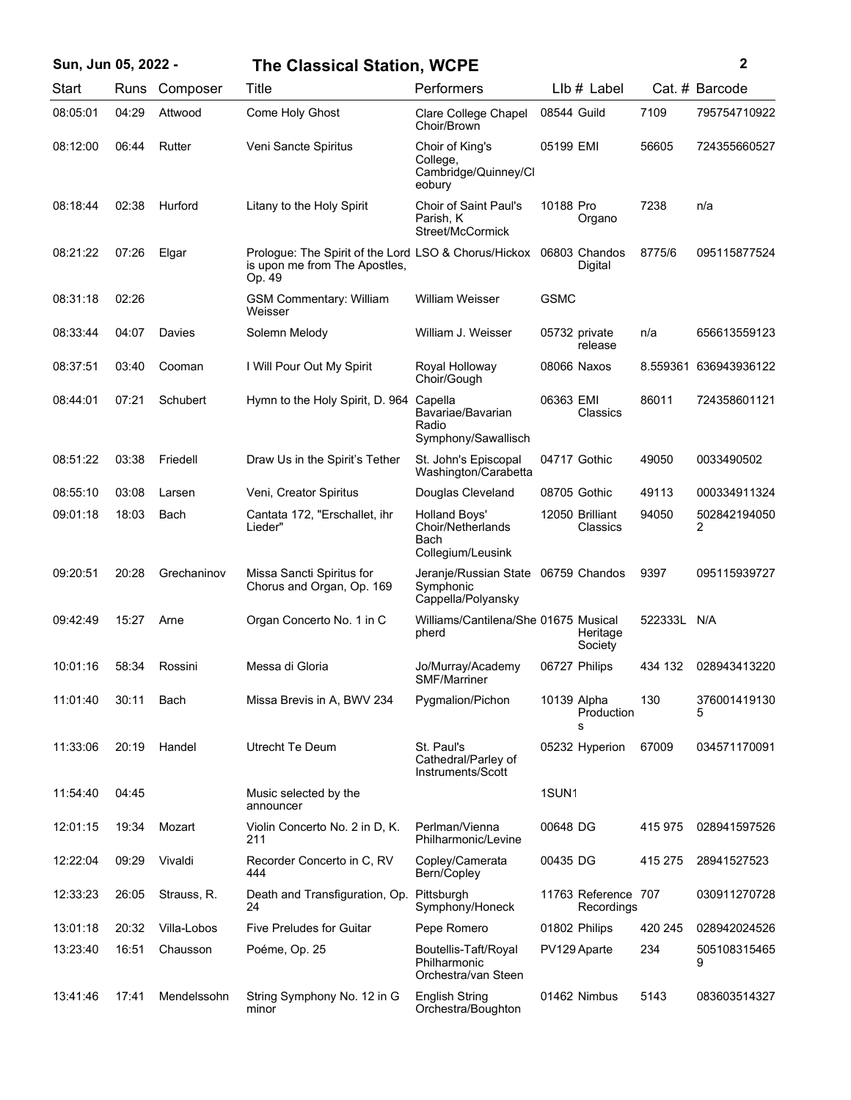| Sun, Jun 05, 2022 - |       |             | <b>The Classical Station, WCPE</b>                                                              |                                                                        |                   |                                   |          | 2                 |
|---------------------|-------|-------------|-------------------------------------------------------------------------------------------------|------------------------------------------------------------------------|-------------------|-----------------------------------|----------|-------------------|
| Start               | Runs  | Composer    | Title                                                                                           | Performers                                                             |                   | LIb # Label                       |          | Cat. # Barcode    |
| 08:05:01            | 04:29 | Attwood     | Come Holy Ghost                                                                                 | Clare College Chapel<br>Choir/Brown                                    | 08544 Guild       |                                   | 7109     | 795754710922      |
| 08:12:00            | 06:44 | Rutter      | Veni Sancte Spiritus                                                                            | Choir of King's<br>College,<br>Cambridge/Quinney/Cl<br>eobury          | 05199 EMI         |                                   | 56605    | 724355660527      |
| 08:18:44            | 02:38 | Hurford     | Litany to the Holy Spirit                                                                       | <b>Choir of Saint Paul's</b><br>Parish, K<br>Street/McCormick          | 10188 Pro         | Organo                            | 7238     | n/a               |
| 08:21:22            | 07:26 | Elgar       | Prologue: The Spirit of the Lord LSO & Chorus/Hickox<br>is upon me from The Apostles,<br>Op. 49 |                                                                        |                   | 06803 Chandos<br>Digital          | 8775/6   | 095115877524      |
| 08:31:18            | 02:26 |             | <b>GSM Commentary: William</b><br>Weisser                                                       | William Weisser                                                        | <b>GSMC</b>       |                                   |          |                   |
| 08:33:44            | 04:07 | Davies      | Solemn Melody                                                                                   | William J. Weisser                                                     |                   | 05732 private<br>release          | n/a      | 656613559123      |
| 08:37:51            | 03:40 | Cooman      | I Will Pour Out My Spirit                                                                       | Royal Holloway<br>Choir/Gough                                          |                   | 08066 Naxos                       | 8.559361 | 636943936122      |
| 08:44:01            | 07:21 | Schubert    | Hymn to the Holy Spirit, D. 964                                                                 | Capella<br>Bavariae/Bavarian<br>Radio<br>Symphony/Sawallisch           | 06363 EMI         | Classics                          | 86011    | 724358601121      |
| 08:51:22            | 03:38 | Friedell    | Draw Us in the Spirit's Tether                                                                  | St. John's Episcopal<br>Washington/Carabetta                           |                   | 04717 Gothic                      | 49050    | 0033490502        |
| 08:55:10            | 03:08 | Larsen      | Veni, Creator Spiritus                                                                          | Douglas Cleveland                                                      |                   | 08705 Gothic                      | 49113    | 000334911324      |
| 09:01:18            | 18:03 | Bach        | Cantata 172, "Erschallet, ihr<br>Lieder"                                                        | <b>Holland Boys'</b><br>Choir/Netherlands<br>Bach<br>Collegium/Leusink |                   | 12050 Brilliant<br>Classics       | 94050    | 502842194050<br>2 |
| 09:20:51            | 20:28 | Grechaninov | Missa Sancti Spiritus for<br>Chorus and Organ, Op. 169                                          | Jeranje/Russian State 06759 Chandos<br>Symphonic<br>Cappella/Polyansky |                   |                                   | 9397     | 095115939727      |
| 09:42:49            | 15:27 | Arne        | Organ Concerto No. 1 in C                                                                       | Williams/Cantilena/She 01675 Musical<br>pherd                          |                   | Heritage<br>Society               | 522333L  | N/A               |
| 10:01:16            | 58:34 | Rossini     | Messa di Gloria                                                                                 | Jo/Murray/Academy<br>SMF/Marriner                                      |                   | 06727 Philips                     | 434 132  | 028943413220      |
| 11:01:40            | 30:11 | Bach        | Missa Brevis in A, BWV 234                                                                      | Pygmalion/Pichon                                                       | 10139 Alpha       | Production<br>s                   | 130      | 376001419130<br>5 |
| 11:33:06            | 20:19 | Handel      | Utrecht Te Deum                                                                                 | St. Paul's<br>Cathedral/Parley of<br>Instruments/Scott                 |                   | 05232 Hyperion                    | 67009    | 034571170091      |
| 11:54:40            | 04:45 |             | Music selected by the<br>announcer                                                              |                                                                        | 1SUN <sub>1</sub> |                                   |          |                   |
| 12:01:15            | 19:34 | Mozart      | Violin Concerto No. 2 in D, K.<br>211                                                           | Perlman/Vienna<br>Philharmonic/Levine                                  | 00648 DG          |                                   | 415 975  | 028941597526      |
| 12:22:04            | 09:29 | Vivaldi     | Recorder Concerto in C, RV<br>444                                                               | Copley/Camerata<br>Bern/Copley                                         | 00435 DG          |                                   | 415 275  | 28941527523       |
| 12:33:23            | 26:05 | Strauss, R. | Death and Transfiguration, Op.<br>24                                                            | Pittsburgh<br>Symphony/Honeck                                          |                   | 11763 Reference 707<br>Recordings |          | 030911270728      |
| 13:01:18            | 20:32 | Villa-Lobos | <b>Five Preludes for Guitar</b>                                                                 | Pepe Romero                                                            |                   | 01802 Philips                     | 420 245  | 028942024526      |
| 13:23:40            | 16:51 | Chausson    | Poéme, Op. 25                                                                                   | Boutellis-Taft/Royal<br>Philharmonic<br>Orchestra/van Steen            |                   | PV129 Aparte                      | 234      | 505108315465<br>9 |
| 13:41:46            | 17:41 | Mendelssohn | String Symphony No. 12 in G<br>minor                                                            | <b>English String</b><br>Orchestra/Boughton                            |                   | 01462 Nimbus                      | 5143     | 083603514327      |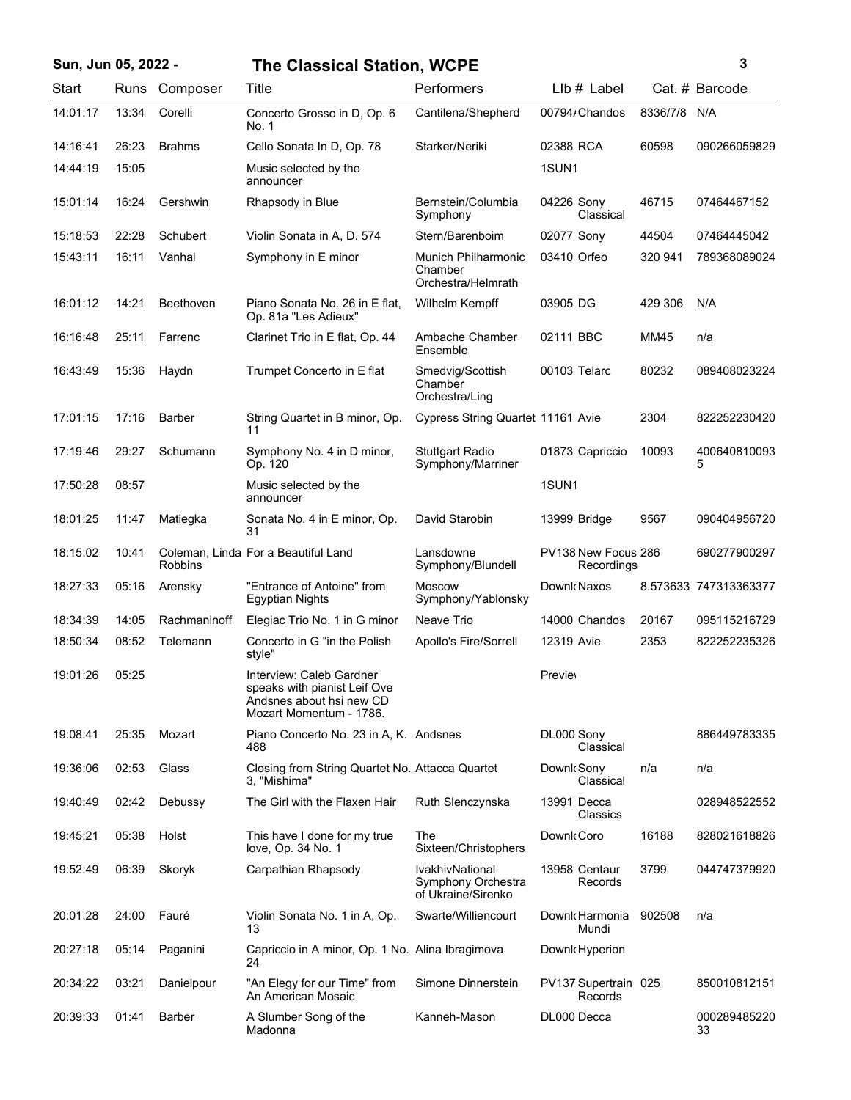| Sun, Jun 05, 2022 - |       |                  | <b>The Classical Station, WCPE</b>                                                                              | 3                                                           |                                   |          |                       |
|---------------------|-------|------------------|-----------------------------------------------------------------------------------------------------------------|-------------------------------------------------------------|-----------------------------------|----------|-----------------------|
| Start               | Runs  | Composer         | Title                                                                                                           | Performers                                                  | $Llb#$ Label                      |          | Cat. # Barcode        |
| 14:01:17            | 13:34 | Corelli          | Concerto Grosso in D, Op. 6<br>No. 1                                                                            | Cantilena/Shepherd                                          | 00794/Chandos                     | 8336/7/8 | N/A                   |
| 14:16:41            | 26:23 | <b>Brahms</b>    | Cello Sonata In D, Op. 78                                                                                       | Starker/Neriki                                              | 02388 RCA                         | 60598    | 090266059829          |
| 14:44:19            | 15:05 |                  | Music selected by the<br>announcer                                                                              |                                                             | 1SUN <sub>1</sub>                 |          |                       |
| 15:01:14            | 16:24 | Gershwin         | Rhapsody in Blue                                                                                                | Bernstein/Columbia<br>Symphony                              | 04226 Sony<br>Classical           | 46715    | 07464467152           |
| 15:18:53            | 22:28 | Schubert         | Violin Sonata in A, D. 574                                                                                      | Stern/Barenboim                                             | 02077 Sony                        | 44504    | 07464445042           |
| 15:43:11            | 16:11 | Vanhal           | Symphony in E minor                                                                                             | Munich Philharmonic<br>Chamber<br>Orchestra/Helmrath        | 03410 Orfeo                       | 320 941  | 789368089024          |
| 16:01:12            | 14:21 | <b>Beethoven</b> | Piano Sonata No. 26 in E flat,<br>Op. 81a "Les Adieux"                                                          | Wilhelm Kempff                                              | 03905 DG                          | 429 306  | N/A                   |
| 16:16:48            | 25:11 | Farrenc          | Clarinet Trio in E flat, Op. 44                                                                                 | Ambache Chamber<br>Ensemble                                 | 02111 BBC                         | MM45     | n/a                   |
| 16:43:49            | 15:36 | Haydn            | Trumpet Concerto in E flat                                                                                      | Smedvig/Scottish<br>Chamber<br>Orchestra/Ling               | 00103 Telarc                      | 80232    | 089408023224          |
| 17:01:15            | 17:16 | <b>Barber</b>    | String Quartet in B minor, Op.<br>11                                                                            | Cypress String Quartet 11161 Avie                           |                                   | 2304     | 822252230420          |
| 17:19:46            | 29:27 | Schumann         | Symphony No. 4 in D minor,<br>Op. 120                                                                           | <b>Stuttgart Radio</b><br>Symphony/Marriner                 | 01873 Capriccio                   | 10093    | 400640810093<br>5     |
| 17:50:28            | 08:57 |                  | Music selected by the<br>announcer                                                                              |                                                             | 1SUN <sub>1</sub>                 |          |                       |
| 18:01:25            | 11:47 | Matiegka         | Sonata No. 4 in E minor, Op.<br>31                                                                              | David Starobin                                              | 13999 Bridge                      | 9567     | 090404956720          |
| 18:15:02            | 10:41 | <b>Robbins</b>   | Coleman, Linda For a Beautiful Land                                                                             | Lansdowne<br>Symphony/Blundell                              | PV138 New Focus 286<br>Recordings |          | 690277900297          |
| 18:27:33            | 05:16 | Arensky          | "Entrance of Antoine" from<br><b>Egyptian Nights</b>                                                            | <b>Moscow</b><br>Symphony/Yablonsky                         | Downk Naxos                       |          | 8.573633 747313363377 |
| 18:34:39            | 14:05 | Rachmaninoff     | Elegiac Trio No. 1 in G minor                                                                                   | Neave Trio                                                  | 14000 Chandos                     | 20167    | 095115216729          |
| 18:50:34            | 08:52 | Telemann         | Concerto in G "in the Polish<br>style"                                                                          | Apollo's Fire/Sorrell                                       | 12319 Avie                        | 2353     | 822252235326          |
| 19:01:26            | 05:25 |                  | Interview: Caleb Gardner<br>speaks with pianist Leif Ove<br>Andsnes about hsi new CD<br>Mozart Momentum - 1786. |                                                             | <b>Previet</b>                    |          |                       |
| 19:08:41            | 25:35 | Mozart           | Piano Concerto No. 23 in A, K. Andsnes<br>488                                                                   |                                                             | DL000 Sony<br>Classical           |          | 886449783335          |
| 19:36:06            | 02:53 | Glass            | Closing from String Quartet No. Attacca Quartet<br>3. "Mishima"                                                 |                                                             | Downk Sony<br>Classical           | n/a      | n/a                   |
| 19:40:49            | 02:42 | Debussy          | The Girl with the Flaxen Hair                                                                                   | Ruth Slenczynska                                            | 13991 Decca<br>Classics           |          | 028948522552          |
| 19:45:21            | 05:38 | Holst            | This have I done for my true<br>love, Op. 34 No. 1                                                              | The<br>Sixteen/Christophers                                 | Downk Coro                        | 16188    | 828021618826          |
| 19:52:49            | 06:39 | Skoryk           | Carpathian Rhapsody                                                                                             | IvakhivNational<br>Symphony Orchestra<br>of Ukraine/Sirenko | 13958 Centaur<br>Records          | 3799     | 044747379920          |
| 20:01:28            | 24:00 | Fauré            | Violin Sonata No. 1 in A, Op.<br>13                                                                             | Swarte/Williencourt                                         | Downk Harmonia<br>Mundi           | 902508   | n/a                   |
| 20:27:18            | 05:14 | Paganini         | Capriccio in A minor, Op. 1 No. Alina Ibragimova<br>24                                                          |                                                             | Downk Hyperion                    |          |                       |
| 20:34:22            | 03:21 | Danielpour       | "An Elegy for our Time" from<br>An American Mosaic                                                              | Simone Dinnerstein                                          | PV137 Supertrain 025<br>Records   |          | 850010812151          |
| 20:39:33            | 01:41 | <b>Barber</b>    | A Slumber Song of the<br>Madonna                                                                                | Kanneh-Mason                                                | DL000 Decca                       |          | 000289485220<br>33    |